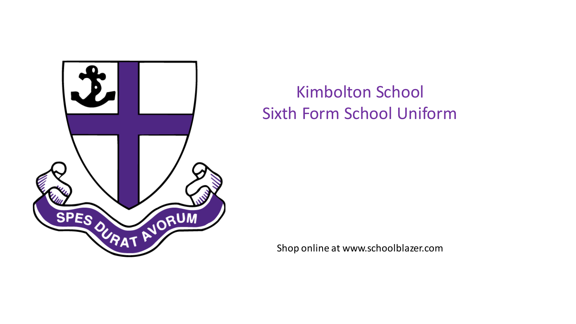

# Kimbolton School Sixth Form School Uniform

Shop online at www.schoolblazer.com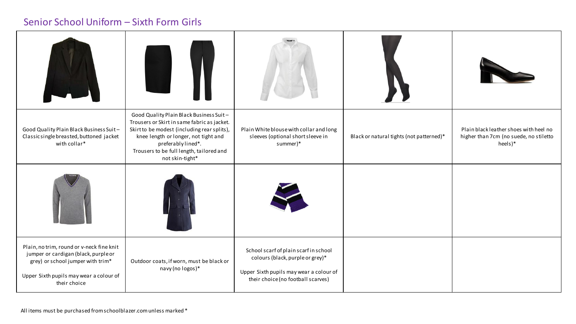## Senior School Uniform – Sixth Form Girls

| Good Quality Plain Black Business Suit-<br>Classicsingle breasted, buttoned jacket<br>with collar*                                                                                | Good Quality Plain Black Business Suit-<br>Trousers or Skirt in same fabric as jacket.<br>Skirt to be modest (including rear splits),<br>knee length or longer, not tight and<br>preferably lined*.<br>Trousers to be full length, tailored and<br>not skin-tight* | Plain White blouse with collar and long<br>sleeves (optional short sleeve in<br>summer)*                                                                   | Black or natural tights (not patterned)* | Plain black leather shoes with heel no<br>higher than 7cm (no suede, no stiletto<br>heels)* |
|-----------------------------------------------------------------------------------------------------------------------------------------------------------------------------------|--------------------------------------------------------------------------------------------------------------------------------------------------------------------------------------------------------------------------------------------------------------------|------------------------------------------------------------------------------------------------------------------------------------------------------------|------------------------------------------|---------------------------------------------------------------------------------------------|
|                                                                                                                                                                                   |                                                                                                                                                                                                                                                                    |                                                                                                                                                            |                                          |                                                                                             |
| Plain, no trim, round or v-neck fine knit<br>jumper or cardigan (black, purple or<br>grey) or school jumper with trim*<br>Upper Sixth pupils may wear a colour of<br>their choice | Outdoor coats, if worn, must be black or<br>navy (no logos)*                                                                                                                                                                                                       | School scarf of plain scarf in school<br>colours (black, purple or grey)*<br>Upper Sixth pupils may wear a colour of<br>their choice (no football scarves) |                                          |                                                                                             |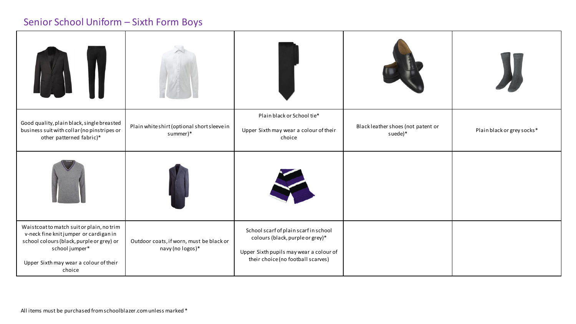## Senior School Uniform – Sixth Form Boys

| Good quality, plain black, single breasted<br>business suit with collar (no pinstripes or<br>other patterned fabric)*                                                                                 | Plain white shirt (optional short sleeve in<br>summer)*      | Plain black or School tie*<br>Upper Sixth may wear a colour of their<br>choice                                                                             | Black leather shoes (not patent or<br>suede)* | Plain black or grey socks* |
|-------------------------------------------------------------------------------------------------------------------------------------------------------------------------------------------------------|--------------------------------------------------------------|------------------------------------------------------------------------------------------------------------------------------------------------------------|-----------------------------------------------|----------------------------|
|                                                                                                                                                                                                       |                                                              |                                                                                                                                                            |                                               |                            |
| Waistcoat to match suit or plain, no trim<br>v-neck fine knitjumper or cardigan in<br>school colours (black, purple or grey) or<br>school jumper*<br>Upper Sixth may wear a colour of their<br>choice | Outdoor coats, if worn, must be black or<br>navy (no logos)* | School scarf of plain scarf in school<br>colours (black, purple or grey)*<br>Upper Sixth pupils may wear a colour of<br>their choice (no football scarves) |                                               |                            |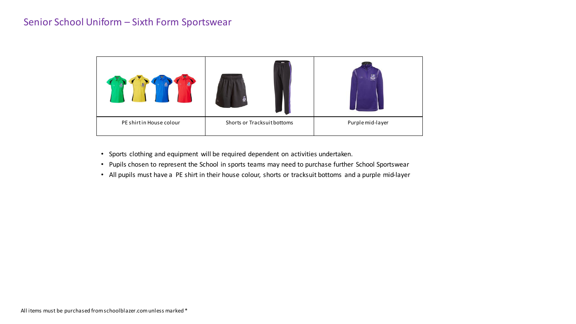

- Sports clothing and equipment will be required dependent on activities undertaken.
- Pupils chosen to represent the School in sports teams may need to purchase further School Sportswear
- All pupils must have a PE shirt in their house colour, shorts or tracksuit bottoms and a purple mid-layer